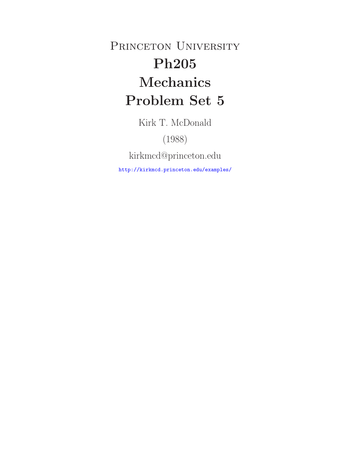PRINCETON UNIVERSITY **Ph205 Mechanics Problem Set 5**

Kirk T. McDonald

(1988)

kirkmcd@princeton.edu

http://kirkmcd.princeton.edu/examples/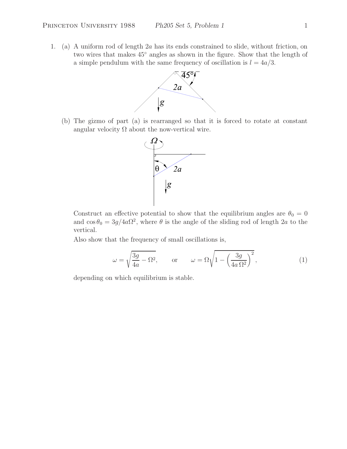1. (a) A uniform rod of length 2a has its ends constrained to slide, without friction, on two wires that makes 45◦ angles as shown in the figure. Show that the length of a simple pendulum with the same frequency of oscillation is  $l = 4a/3$ .



(b) The gizmo of part (a) is rearranged so that it is forced to rotate at constant angular velocity  $\Omega$  about the now-vertical wire.



Construct an effective potential to show that the equilibrium angles are  $\theta_0 = 0$ and  $\cos \theta_0 = 3g/4a\Omega^2$ , where  $\theta$  is the angle of the sliding rod of length 2a to the vertical.

Also show that the frequency of small oscillations is,

$$
\omega = \sqrt{\frac{3g}{4a} - \Omega^2}, \qquad \text{or} \qquad \omega = \Omega \sqrt{1 - \left(\frac{3g}{4a\,\Omega^2}\right)^2}, \tag{1}
$$

depending on which equilibrium is stable.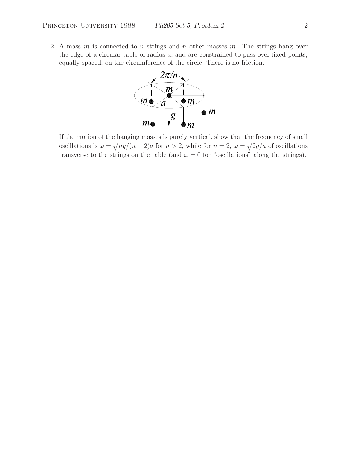2. A mass  $m$  is connected to  $n$  strings and  $n$  other masses  $m$ . The strings hang over the edge of a circular table of radius  $a$ , and are constrained to pass over fixed points, equally spaced, on the circumference of the circle. There is no friction.



If the motion of the hanging masses is purely vertical, show that the frequency of small oscillations is  $\omega = \sqrt{ng/(n+2)a}$  for  $n > 2$ , while for  $n = 2$ ,  $\omega = \sqrt{2g/a}$  of oscillations transverse to the strings on the table (and  $\omega = 0$  for "oscillations" along the strings).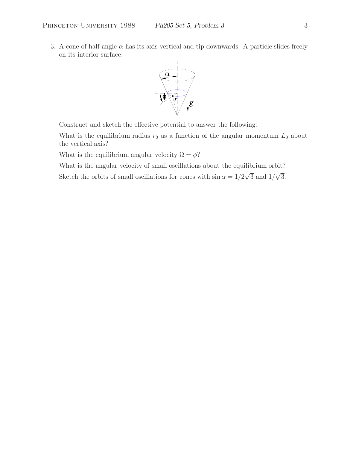3. A cone of half angle  $\alpha$  has its axis vertical and tip downwards. A particle slides freely on its interior surface.



Construct and sketch the effective potential to answer the following:

What is the equilibrium radius  $r_0$  as a function of the angular momentum  $L_0$  about the vertical axis?

What is the equilibrium angular velocity  $\Omega = \dot{\phi}$ ?

What is the angular velocity of small oscillations about the equilibrium orbit?

Sketch the orbits of small oscillations for cones with  $\sin \alpha = 1/2\sqrt{3}$  and  $1/\sqrt{3}$ .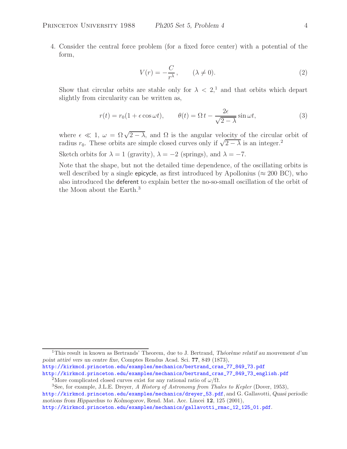4. Consider the central force problem (for a fixed force center) with a potential of the form,

$$
V(r) = -\frac{C}{r^{\lambda}}, \qquad (\lambda \neq 0). \tag{2}
$$

Show that circular orbits are stable only for  $\lambda < 2$ <sup>1</sup>, and that orbits which depart slightly from circularity can be written as,

$$
r(t) = r_0(1 + \epsilon \cos \omega t), \qquad \theta(t) = \Omega t - \frac{2\epsilon}{\sqrt{2 - \lambda}} \sin \omega t, \tag{3}
$$

where  $\epsilon \ll 1$ ,  $\omega = \Omega \sqrt{2-\lambda}$ , and  $\Omega$  is the angular velocity of the circular orbit of radius  $r_0$ . These orbits are simple closed curves only if  $\sqrt{2-\lambda}$  is an integer.<sup>2</sup>

Sketch orbits for  $\lambda = 1$  (gravity),  $\lambda = -2$  (springs), and  $\lambda = -7$ .

Note that the shape, but not the detailed time dependence, of the oscillating orbits is well described by a single epicycle, as first introduced by Apollonius ( $\approx 200$  BC), who also introduced the deferent to explain better the no-so-small oscillation of the orbit of the Moon about the Earth.<sup>3</sup>

<sup>2</sup>More complicated closed curves exist for any rational ratio of  $\omega/\Omega$ .

<sup>&</sup>lt;sup>1</sup>This result in known as Bertrands' Theorem, due to J. Bertrand, *Théorème relatif au mouvement d'un point attir´e vers un centre fixe*, Comptes Rendus Acad. Sci. **77**, 849 (1873), http://kirkmcd.princeton.edu/examples/mechanics/bertrand\_cras\_77\_849\_73.pdf http://kirkmcd.princeton.edu/examples/mechanics/bertrand\_cras\_77\_849\_73\_english.pdf

<sup>3</sup>See, for example, J.L.E. Dreyer, *A History of Astronomy from Thales to Kepler* (Dover, 1953), http://kirkmcd.princeton.edu/examples/mechanics/dreyer\_53.pdf, and G. Gallavotti, *Quasi periodic motions from Hipparchus to Kolmogorov*, Rend. Mat. Acc. Lincei **12**, 125 (2001), http://kirkmcd.princeton.edu/examples/mechanics/gallavotti\_rmac\_12\_125\_01.pdf.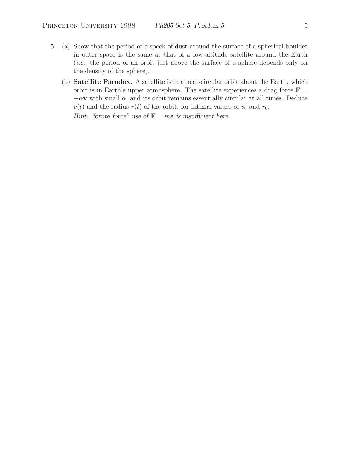- 5. (a) Show that the period of a speck of dust around the surface of a spherical boulder in outer space is the same at that of a low-altitude satellite around the Earth (*i.e.*, the period of an orbit just above the surface of a sphere depends only on the density of the sphere).
	- (b) **Satellite Paradox.** A satellite is in a near-circular orbit about the Earth, which orbit is in Earth's upper atmosphere. The satellite experiences a drag force  $\mathbf{F} =$  $-\alpha \mathbf{v}$  with small  $\alpha$ , and its orbit remains essentially circular at all times. Deduce  $v(t)$  and the radius  $r(t)$  of the orbit, for intimal values of  $v_0$  and  $r_0$ .

*Hint: "brute force" use of*  $\mathbf{F} = m\mathbf{a}$  *is insufficient here.*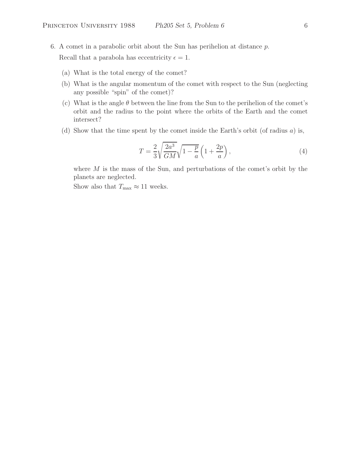6. A comet in a parabolic orbit about the Sun has perihelion at distance  $p$ .

Recall that a parabola has eccentricity  $\epsilon = 1$ .

- (a) What is the total energy of the comet?
- (b) What is the angular momentum of the comet with respect to the Sun (neglecting any possible "spin" of the comet)?
- (c) What is the angle  $\theta$  between the line from the Sun to the perihelion of the comet's orbit and the radius to the point where the orbits of the Earth and the comet intersect?
- (d) Show that the time spent by the comet inside the Earth's orbit (of radius a) is,

$$
T = \frac{2}{3} \sqrt{\frac{2a^3}{GM}} \sqrt{1 - \frac{p}{a}} \left( 1 + \frac{2p}{a} \right),\tag{4}
$$

where  $M$  is the mass of the Sun, and perturbations of the comet's orbit by the planets are neglected.

Show also that  $T_{\text{max}} \approx 11$  weeks.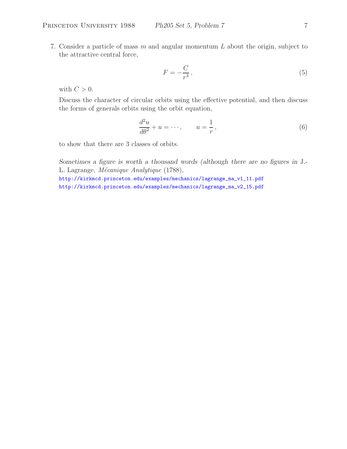7. Consider a particle of mass  $m$  and angular momentum  $L$  about the origin, subject to the attractive central force,

$$
F = -\frac{C}{r^3},\tag{5}
$$

with  $C > 0$ .

Discuss the character of circular orbits using the effective potential, and then discuss the forms of generals orbits using the orbit equation,

$$
\frac{d^2u}{d\theta^2} + u = \cdots, \qquad u = \frac{1}{r},\tag{6}
$$

to show that there are 3 classes of orbits.

*Sometimes a figure is worth a thousand words (although there are no figures in* J.- L. Lagrange, *M´ecanique Analytique* (1788),

http://kirkmcd.princeton.edu/examples/mechanics/lagrange\_ma\_v1\_11.pdf http://kirkmcd.princeton.edu/examples/mechanics/lagrange\_ma\_v2\_15.pdf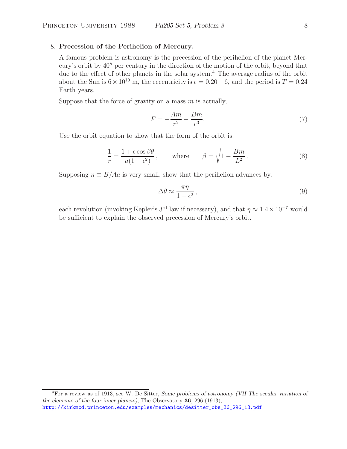## 8. **Precession of the Perihelion of Mercury.**

A famous problem is astronomy is the precession of the perihelion of the planet Mercury's orbit by  $40''$  per century in the direction of the motion of the orbit, beyond that due to the effect of other planets in the solar system.<sup>4</sup> The average radius of the orbit about the Sun is  $6 \times 10^{10}$  m, the eccentricity is  $\epsilon = 0.20 - 6$ , and the period is  $T = 0.24$ Earth years.

Suppose that the force of gravity on a mass  $m$  is actually,

$$
F = -\frac{Am}{r^2} - \frac{Bm}{r^3}.\tag{7}
$$

Use the orbit equation to show that the form of the orbit is,

$$
\frac{1}{r} = \frac{1 + \epsilon \cos \beta \theta}{a(1 - \epsilon^2)}, \quad \text{where} \quad \beta = \sqrt{1 - \frac{Bm}{L^2}}.
$$
 (8)

Supposing  $\eta \equiv B/Aa$  is very small, show that the perihelion advances by,

$$
\Delta\theta \approx \frac{\pi\eta}{1 - \epsilon^2},\tag{9}
$$

each revolution (invoking Kepler's 3<sup>rd</sup> law if necessary), and that  $\eta \approx 1.4 \times 10^{-7}$  would be sufficient to explain the observed precession of Mercury's orbit.

<sup>4</sup>For a review as of 1913, see W. De Sitter, *Some problems of astronomy (VII The secular variation of the elements of the four inner planets)*, The Observatory **36**, 296 (1913), http://kirkmcd.princeton.edu/examples/mechanics/desitter\_obs\_36\_296\_13.pdf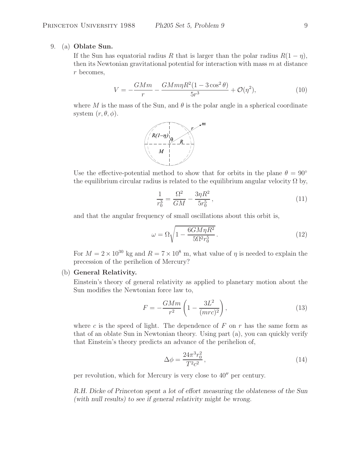# 9. (a) **Oblate Sun.**

If the Sun has equatorial radius R that is larger than the polar radius  $R(1 - \eta)$ , then its Newtonian gravitational potential for interaction with mass m at distance r becomes,

$$
V = -\frac{GMm}{r} - \frac{GMm\eta R^2 (1 - 3\cos^2\theta)}{5r^3} + \mathcal{O}(\eta^2),\tag{10}
$$

where M is the mass of the Sun, and  $\theta$  is the polar angle in a spherical coordinate system  $(r, \theta, \phi)$ .



Use the effective-potential method to show that for orbits in the plane  $\theta = 90^{\circ}$ the equilibrium circular radius is related to the equilibrium angular velocity  $\Omega$  by,

$$
\frac{1}{r_0^3} = \frac{\Omega^2}{GM} - \frac{3\eta R^2}{5r_0^5},\tag{11}
$$

and that the angular frequency of small oscillations about this orbit is,

$$
\omega = \Omega \sqrt{1 - \frac{6GM\eta R^2}{5\Omega^2 r_0^5}}.
$$
\n(12)

For  $M = 2 \times 10^{30}$  kg and  $R = 7 \times 10^8$  m, what value of *n* is needed to explain the precession of the perihelion of Mercury?

### (b) **General Relativity.**

Einstein's theory of general relativity as applied to planetary motion about the Sun modifies the Newtonian force law to,

$$
F = -\frac{GMm}{r^2} \left( 1 - \frac{3L^2}{(mrc)^2} \right),\tag{13}
$$

where c is the speed of light. The dependence of  $F$  on  $r$  has the same form as that of an oblate Sun in Newtonian theory. Using part (a), you can quickly verify that Einstein's theory predicts an advance of the perihelion of,

$$
\Delta \phi = \frac{24\pi^3 r_0^2}{T^2 c^2},\tag{14}
$$

per revolution, which for Mercury is very close to  $40''$  per century.

*R.H. Dicke of Princeton spent a lot of effort measuring the oblateness of the Sun (with null results) to see if general relativity might be wrong.*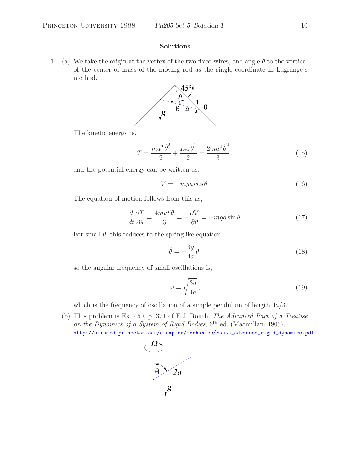### **Solutions**

1. (a) We take the origin at the vertex of the two fixed wires, and angle  $\theta$  to the vertical of the center of mass of the moving rod as the single coordinate in Lagrange's method.



The kinetic energy is,

$$
T = \frac{ma^2\dot{\theta}^2}{2} + \frac{I_{\rm cm}\dot{\theta}^1}{2} = \frac{2ma^2\dot{\theta}^2}{3},\tag{15}
$$

and the potential energy can be written as,

$$
V = -mga\cos\theta.\tag{16}
$$

The equation of motion follows from this as,

$$
\frac{d}{dt}\frac{\partial T}{\partial \dot{\theta}} = \frac{4ma^2\ddot{\theta}}{3} = -\frac{\partial V}{\partial \theta} = -mga\sin\theta.
$$
 (17)

For small  $\theta$ , this reduces to the springlike equation,

$$
\ddot{\theta} = -\frac{3g}{4a}\theta,\tag{18}
$$

so the angular frequency of small oscillations is,

$$
\omega = \sqrt{\frac{3g}{4a}},\tag{19}
$$

which is the frequency of oscillation of a simple pendulum of length  $4a/3$ .

(b) This problem is Ex. 450, p. 371 of E.J. Routh, *The Advanced Part of a Treatise on the Dynamics of a System of Rigid Bodies*, 6<sup>th</sup> ed. (Macmillan, 1905), http://kirkmcd.princeton.edu/examples/mechanics/routh\_advanced\_rigid\_dynamics.pdf.

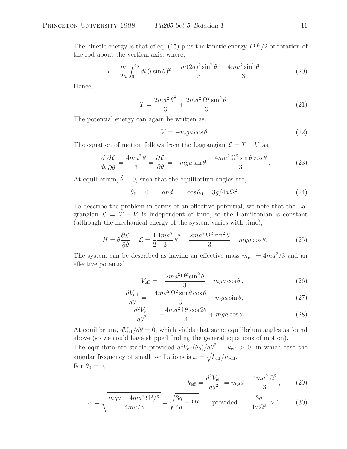The kinetic energy is that of eq. (15) plus the kinetic energy  $I\Omega^2/2$  of rotation of the rod about the vertical axis, where,

$$
I = \frac{m}{2a} \int_0^{2a} dl \, (l \sin \theta)^2 = \frac{m(2a)^2 \sin^2 \theta}{3} = \frac{4ma^2 \sin^2 \theta}{3}.
$$
 (20)

Hence,

$$
T = \frac{2ma^2\dot{\theta}^2}{3} + \frac{2ma^2\Omega^2\sin^2\theta}{3}.
$$
 (21)

The potential energy can again be written as,

$$
V = -mga\cos\theta.\tag{22}
$$

The equation of motion follows from the Lagrangian  $\mathcal{L} = T - V$  as,

$$
\frac{d}{dt}\frac{\partial \mathcal{L}}{\partial \dot{\theta}} = \frac{4ma^2\ddot{\theta}}{3} = \frac{\partial \mathcal{L}}{\partial \theta} = -mga\sin\theta + \frac{4ma^2\Omega^2\sin\theta\cos\theta}{3}.
$$
 (23)

At equilibrium,  $\ddot{\theta} = 0$ , such that the equilibrium angles are,

$$
\theta_0 = 0 \qquad and \qquad \cos \theta_0 = 3g/4a \,\Omega^2. \tag{24}
$$

To describe the problem in terms of an effective potential, we note that the Lagrangian  $\mathcal{L} = T - V$  is independent of time, so the Hamiltonian is constant (although the mechanical energy of the system varies with time),

$$
H = \dot{\theta}\frac{\partial\mathcal{L}}{\partial\dot{\theta}} - \mathcal{L} = \frac{1}{2}\frac{4ma^2}{3}\dot{\theta}^2 - \frac{2ma^2\Omega^2\sin^2\theta}{3} - mga\cos\theta.
$$
 (25)

The system can be described as having an effective mass  $m_{\text{eff}} = 4ma^2/3$  and an effective potential,

$$
V_{\text{eff}} = -\frac{2ma^2\Omega^2\sin^2\theta}{3} - mga\cos\theta\,,\tag{26}
$$

$$
\frac{dV_{\text{eff}}}{d\theta} = -\frac{4ma^2\,\Omega^2\sin\theta\cos\theta}{3} + mga\sin\theta,\tag{27}
$$

$$
\frac{d^2V_{\text{eff}}}{d\theta^2} = -\frac{4ma^2\,\Omega^2\cos 2\theta}{3} + mga\cos\theta. \tag{28}
$$

At equilibrium,  $dV_{\text{eff}}/d\theta = 0$ , which yields that same equilibrium angles as found above (so we could have skipped finding the general equations of motion).

The equilibria are stable provided  $d^2V_{\text{eff}}(\theta_0)/d\theta^2 = k_{\text{eff}} > 0$ , in which case the angular frequency of small oscillations is  $\omega = \sqrt{k_{\text{eff}}/m_{\text{eff}}}$ . For  $\theta_0 = 0$ ,

$$
k_{\text{eff}} = \frac{d^2 V_{\text{eff}}}{d\theta^2} = mga - \frac{4ma^2 \,\Omega^2}{3},\qquad(29)
$$

$$
\omega = \sqrt{\frac{mga - 4ma^2 \Omega^2/3}{4ma/3}} = \sqrt{\frac{3g}{4a} - \Omega^2} \qquad \text{provided} \qquad \frac{3g}{4a \Omega^2} > 1. \tag{30}
$$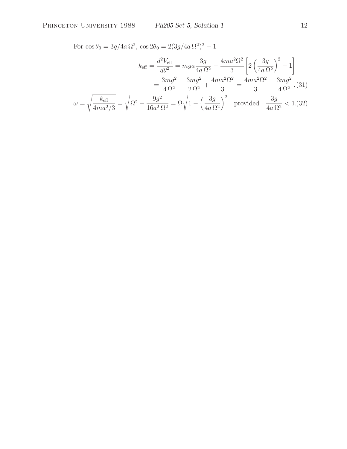For  $\cos \theta_0 = 3g/4a \Omega^2$ ,  $\cos 2\theta_0 = 2(3g/4a \Omega^2)^2 - 1$ 

$$
k_{\text{eff}} = \frac{d^2 V_{\text{eff}}}{d\theta^2} = mga \frac{3g}{4a \Omega^2} - \frac{4ma^2 \Omega^2}{3} \left[ 2\left(\frac{3g}{4a \Omega^2}\right)^2 - 1 \right]
$$

$$
= \frac{3mg^2}{4\Omega^2} - \frac{3mg^2}{2\Omega^2} + \frac{4ma^2 \Omega^2}{3} = \frac{4ma^2 \Omega^2}{3} - \frac{3mg^2}{4\Omega^2}, (31)
$$

$$
\omega = \sqrt{\frac{k_{\text{eff}}}{4ma^2/3}} = \sqrt{\Omega^2 - \frac{9g^2}{16a^2 \Omega^2}} = \Omega \sqrt{1 - \left(\frac{3g}{4a \Omega^2}\right)^2} \quad \text{provided} \quad \frac{3g}{4a \Omega^2} < 1. (32)
$$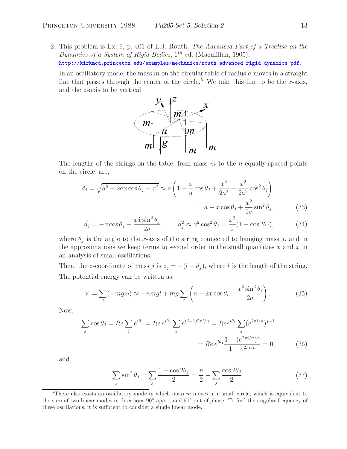2. This problem is Ex. 9, p. 401 of E.J. Routh, *The Advanced Part of a Treatise on the Dynamics of a System of Rigid Bodies*,  $6^{th}$  ed. (Macmillan, 1905), http://kirkmcd.princeton.edu/examples/mechanics/routh\_advanced\_rigid\_dynamics.pdf.

In an oscillatory mode, the mass  $m$  on the circular table of radius  $a$  moves in a straight line that passes through the center of the circle.<sup>5</sup> We take this line to be the x-axis, and the z-axis to be vertical.



The lengths of the strings on the table, from mass  $m$  to the n equally spaced points on the circle, are,

$$
d_j = \sqrt{a^2 - 2ax\cos\theta_j + x^2} \approx a\left(1 - \frac{x}{a}\cos\theta_j + \frac{x^2}{2a^2} - \frac{x^2}{2a^2}\cos^2\theta_j\right)
$$

$$
= a - x\cos\theta_j + \frac{x^2}{2a}\sin^2\theta_j. \tag{33}
$$

$$
\dot{d}_j = -\dot{x}\cos\theta_j + \frac{x\dot{x}\sin^2\theta_j}{2a}, \qquad \dot{d}_j^2 \approx \dot{x}^2\cos^2\theta_j = \frac{\dot{x}^2}{2}(1+\cos 2\theta_j), \tag{34}
$$

where  $\theta_j$  is the angle to the x-axis of the string connected to hanging mass j, and in the approximations we keep terms to second order in the small quantities x and  $\dot{x}$  in an analysis of small oscillations.

Then, the z-coordinate of mass j is  $z_j = -(l - d_j)$ , where l is the length of the string. The potential energy can be written as,

$$
V = \sum_{i} (-mgz_i) \approx -nmgl + mg \sum_{i} \left( a - 2x \cos \theta_i + \frac{x^2 \sin^2 \theta_i}{2a} \right). \tag{35}
$$

Now,

$$
\sum_{j} \cos \theta_{j} = Re \sum_{j} e^{i\theta_{j}} = Re e^{i\theta_{1}} \sum_{j} e^{(j-1)2\pi i/n} = Re e^{i\theta_{1}} \sum_{j} (e^{2\pi i/n})^{j-1}
$$

$$
= Re e^{i\theta_{1}} \frac{1 - (e^{2\pi i/n})^{n}}{1 - e^{2\pi i/n}} = 0,
$$
(36)

and,

$$
\sum_{j} \sin^2 \theta_j = \sum_{j} \frac{1 - \cos 2\theta_j}{2} = \frac{n}{2} - \sum_{j} \frac{\cos 2\theta_j}{2}.
$$
 (37)

<sup>&</sup>lt;sup>5</sup>There also exists an oscillatory mode in which mass  $m$  moves in a small circle, which is equivalent to the sum of two linear modes in directions 90◦ apart, and 90◦ out of phase. To find the angular frequency of these oscillations, it is sufficient to consider a single linear mode.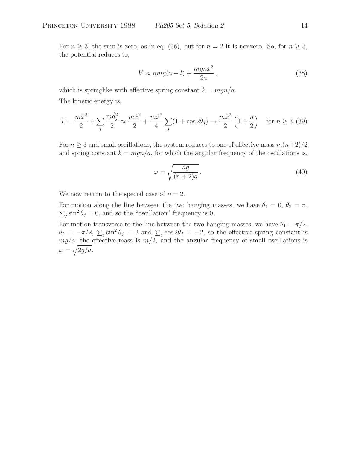For  $n \geq 3$ , the sum is zero, as in eq. (36), but for  $n = 2$  it is nonzero. So, for  $n \geq 3$ , the potential reduces to,

$$
V \approx nmg(a-l) + \frac{mgnx^2}{2a},\tag{38}
$$

which is springlike with effective spring constant  $k = mgn/a$ . The kinetic energy is,

$$
T = \frac{m\dot{x}^2}{2} + \sum_{j} \frac{m\dot{d}_j^2}{2} \approx \frac{m\dot{x}^2}{2} + \frac{m\dot{x}^2}{4} \sum_{j} (1 + \cos 2\theta_j) \rightarrow \frac{m\dot{x}^2}{2} \left(1 + \frac{n}{2}\right) \quad \text{for } n \ge 3. (39)
$$

For  $n \geq 3$  and small oscillations, the system reduces to one of effective mass  $m(n+2)/2$ and spring constant  $k = mgn/a$ , for which the angular frequency of the oscillations is.

$$
\omega = \sqrt{\frac{ng}{(n+2)a}}.\tag{40}
$$

We now return to the special case of  $n = 2$ .

For motion along the line between the two hanging masses, we have  $\theta_1 = 0$ ,  $\theta_2 = \pi$ ,  $\sum_j \sin^2 \theta_j = 0$ , and so the "oscillation" frequency is 0.

For motion transverse to the line between the two hanging masses, we have  $\theta_1 = \pi/2$ ,  $\theta_2 = -\pi/2$ ,  $\sum_j \sin^2 \theta_j = 2$  and  $\sum_j \cos 2\theta_j = -2$ , so the effective spring constant is  $mg/a$ , the effective mass is  $m/2$ , and the angular frequency of small oscillations is  $\omega = \sqrt{2g/a}.$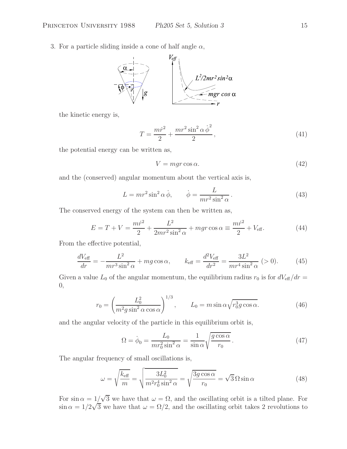3. For a particle sliding inside a cone of half angle  $\alpha$ ,



the kinetic energy is,

$$
T = \frac{mr^2}{2} + \frac{mr^2 \sin^2 \alpha \dot{\phi}^2}{2},
$$
\n(41)

the potential energy can be written as,

$$
V = mgr \cos \alpha. \tag{42}
$$

and the (conserved) angular momentum about the vertical axis is,

$$
L = mr^2 \sin^2 \alpha \dot{\phi}, \qquad \dot{\phi} = \frac{L}{mr^2 \sin^2 \alpha}.
$$
 (43)

The conserved energy of the system can then be written as,

$$
E = T + V = \frac{m\dot{r}^2}{2} + \frac{L^2}{2mr^2\sin^2\alpha} + mgr\cos\alpha \equiv \frac{m\dot{r}^2}{2} + V_{\text{eff}}.\tag{44}
$$

From the effective potential,

$$
\frac{dV_{\text{eff}}}{dr} = -\frac{L^2}{mr^3 \sin^2 \alpha} + mg \cos \alpha, \qquad k_{\text{eff}} = \frac{d^2 V_{\text{eff}}}{dr^2} = \frac{3L^2}{mr^4 \sin^2 \alpha} (>0). \tag{45}
$$

Given a value  $L_0$  of the angular momentum, the equilibrium radius  $r_0$  is for  $dV_{\text{eff}}/dr =$ 0,

$$
r_0 = \left(\frac{L_0^2}{m^2 g \sin^2 \alpha \cos \alpha}\right)^{1/3}, \qquad L_0 = m \sin \alpha \sqrt{r_0^3 g \cos \alpha}.
$$
 (46)

and the angular velocity of the particle in this equilibrium orbit is,

$$
\Omega = \dot{\phi}_0 = \frac{L_0}{mr_0^2 \sin^2 \alpha} = \frac{1}{\sin \alpha} \sqrt{\frac{g \cos \alpha}{r_0}}.
$$
\n(47)

The angular frequency of small oscillations is,

$$
\omega = \sqrt{\frac{k_{\text{eff}}}{m}} = \sqrt{\frac{3L_0^2}{m^2 r_0^4 \sin^2 \alpha}} = \sqrt{\frac{3g \cos \alpha}{r_0}} = \sqrt{3} \Omega \sin \alpha \tag{48}
$$

For  $\sin \alpha = 1/\sqrt{3}$  we have that  $\omega = \Omega$ , and the oscillating orbit is a tilted plane. For  $\sin \alpha = 1/2\sqrt{3}$  we have that  $\omega = \Omega/2$ , and the oscillating orbit takes 2 revolutions to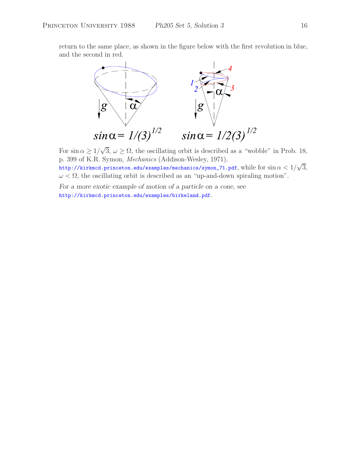return to the same place, as shown in the figure below with the first revolution in blue, and the second in red.



For  $\sin \alpha \geq 1/\sqrt{3}$ ,  $\omega \geq \Omega$ , the oscillating orbit is described as a "wobble" in Prob. 18, p. 399 of K.R. Symon, *Mechanics* (Addison-Wesley, 1971), http://kirkmcd.princeton.edu/examples/mechanics/symon\_71.pdf, while for  $\sin\alpha < 1/\sqrt{3}$ ,  $\omega < \Omega$ , the oscillating orbit is described as an "up-and-down spiraling motion".

*For a more exotic example of motion of a particle on a cone, see* http://kirkmcd.princeton.edu/examples/birkeland.pdf.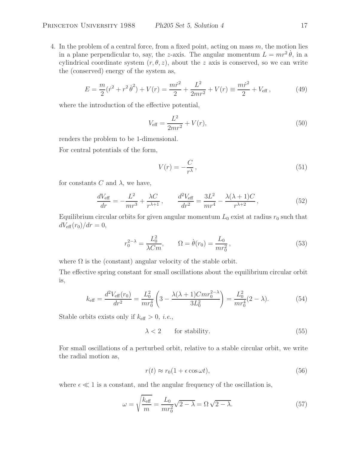4. In the problem of a central force, from a fixed point, acting on mass  $m$ , the motion lies in a plane perpendicular to, say, the z-axis. The angular momentum  $L = mr^2 \dot{\theta}$ , in a cylindrical coordinate system  $(r, \theta, z)$ , about the z axis is conserved, so we can write the (conserved) energy of the system as,

$$
E = \frac{m}{2}(\dot{r}^2 + r^2\dot{\theta}^2) + V(r) = \frac{m\dot{r}^2}{2} + \frac{L^2}{2mr^2} + V(r) \equiv \frac{m\dot{r}^2}{2} + V_{\text{eff}}\,,\tag{49}
$$

where the introduction of the effective potential,

$$
V_{\text{eff}} = \frac{L^2}{2mr^2} + V(r),\tag{50}
$$

renders the problem to be 1-dimensional.

For central potentials of the form,

$$
V(r) = -\frac{C}{r^{\lambda}},\tag{51}
$$

for constants C and  $\lambda$ , we have,

$$
\frac{dV_{\text{eff}}}{dr} = -\frac{L^2}{mr^3} + \frac{\lambda C}{r^{\lambda+1}}, \qquad \frac{d^2V_{\text{eff}}}{dr^2} = \frac{3L^2}{mr^4} - \frac{\lambda(\lambda+1)C}{r^{\lambda+2}},\tag{52}
$$

Equilibrium circular orbits for given angular momentum  $L_0$  exist at radius  $r_0$  such that  $dV_{\text{eff}}(r_0)/dr = 0,$ 

$$
r_0^{2-\lambda} = \frac{L_0^2}{\lambda C m}, \qquad \Omega = \dot{\theta}(r_0) = \frac{L_0}{mr_0^2}, \qquad (53)
$$

where  $\Omega$  is the (constant) angular velocity of the stable orbit.

The effective spring constant for small oscillations about the equilibrium circular orbit is,

$$
k_{\text{eff}} = \frac{d^2 V_{\text{eff}}(r_0)}{dr^2} = \frac{L_0^2}{mr_0^4} \left(3 - \frac{\lambda(\lambda + 1)Cmr_0^{2-\lambda}}{3L_0^2}\right) = \frac{L_0^2}{mr_0^4} (2 - \lambda). \tag{54}
$$

Stable orbits exists only if  $k_{\text{eff}} > 0$ , *i.e.*,

$$
\lambda < 2 \qquad \text{for stability.} \tag{55}
$$

For small oscillations of a perturbed orbit, relative to a stable circular orbit, we write the radial motion as,

$$
r(t) \approx r_0(1 + \epsilon \cos \omega t),\tag{56}
$$

where  $\epsilon \ll 1$  is a constant, and the angular frequency of the oscillation is,

$$
\omega = \sqrt{\frac{k_{\text{eff}}}{m}} = \frac{L_0}{mr_0^2} \sqrt{2 - \lambda} = \Omega \sqrt{2 - \lambda}.
$$
\n(57)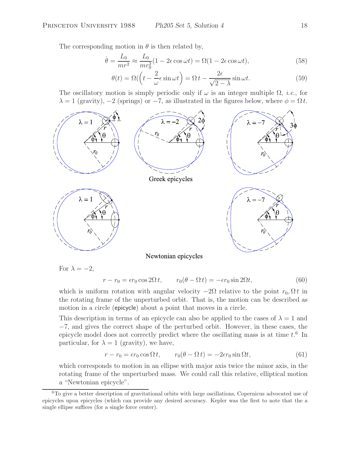The corresponding motion in  $\theta$  is then related by,

$$
\dot{\theta} = \frac{L_0}{mr^2} \approx \frac{L_0}{mr_0^2} (1 - 2\epsilon \cos \omega t) = \Omega (1 - 2\epsilon \cos \omega t),\tag{58}
$$

$$
\theta(t) = \Omega \left( \left( t - \frac{2}{\omega} \epsilon \sin \omega t \right) = \Omega \, t - \frac{2\epsilon}{\sqrt{2 - \lambda}} \sin \omega t. \tag{59}
$$

The oscillatory motion is simply periodic only if  $\omega$  is an integer multiple  $\Omega$ , *i.e.*, for  $\lambda = 1$  (gravity),  $-2$  (springs) or  $-7$ , as illustrated in the figures below, where  $\phi = \Omega t$ .



For  $\lambda = -2$ ,

 $r - r_0 = \epsilon r_0 \cos 2\Omega t$ ,  $r_0(\theta - \Omega t) = -\epsilon r_0 \sin 2\Omega t$ , (60)

which is uniform rotation with angular velocity  $-2\Omega$  relative to the point  $r_0, \Omega t$  in the rotating frame of the unperturbed orbit. That is, the motion can be described as motion in a circle (epicycle) about a point that moves in a circle.

This description in terms of an epicycle can also be applied to the cases of  $\lambda = 1$  and −7, and gives the correct shape of the perturbed orbit. However, in these cases, the epicycle model does not correctly predict where the oscillating mass is at time  $t^6$ . In particular, for  $\lambda = 1$  (gravity), we have,

$$
r - r_0 = \epsilon r_0 \cos \Omega t, \qquad r_0(\theta - \Omega t) = -2\epsilon r_0 \sin \Omega t, \tag{61}
$$

which corresponds to motion in an ellipse with major axis twice the minor axis, in the rotating frame of the unperturbed mass. We could call this relative, elliptical motion a "Newtonian epicycle".

 ${}^{6}$ To give a better description of gravitational orbits with large oscillations, Copernicus advocated use of epicycles upon epicycles (which can provide any desired accuracy. Kepler was the first to note that the a single ellipse suffices (for a single force center).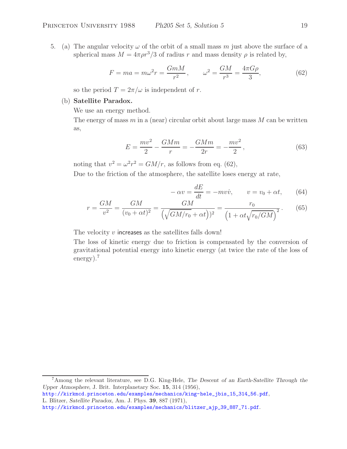5. (a) The angular velocity  $\omega$  of the orbit of a small mass m just above the surface of a spherical mass  $M = 4\pi \rho r^3/3$  of radius r and mass density  $\rho$  is related by,

$$
F = ma = m\omega^2 r = \frac{GmM}{r^2}, \qquad \omega^2 = \frac{GM}{r^3} = \frac{4\pi G\rho}{3}, \tag{62}
$$

so the period  $T = 2\pi/\omega$  is independent of r.

# (b) **Satellite Paradox.**

We use an energy method.

The energy of mass  $m$  in a (near) circular orbit about large mass  $M$  can be written as,

$$
E = \frac{mv^2}{2} - \frac{GMm}{r} = -\frac{GMm}{2r} = -\frac{mv^2}{2},
$$
\n(63)

noting that  $v^2 = \omega^2 r^2 = GM/r$ , as follows from eq. (62),

Due to the friction of the atmosphere, the satellite loses energy at rate,

$$
-\alpha v = \frac{dE}{dt} = -mv\dot{v}, \qquad v = v_0 + \alpha t, \qquad (64)
$$

$$
r = \frac{GM}{v^2} = \frac{GM}{(v_0 + \alpha t)^2} = \frac{GM}{(\sqrt{GM/r_0} + \alpha t))^2} = \frac{r_0}{(1 + \alpha t \sqrt{r_0/GM})^2}.
$$
(65)

The velocity  $v$  increases as the satellites falls down!

The loss of kinetic energy due to friction is compensated by the conversion of gravitational potential energy into kinetic energy (at twice the rate of the loss of energy).<sup>7</sup>

<sup>7</sup>Among the relevant literature, see D.G. King-Hele, *The Descent of an Earth-Satellite Through the Upper Atmosphere*, J. Brit. Interplanetary Soc. **15**, 314 (1956),

http://kirkmcd.princeton.edu/examples/mechanics/king-hele\_jbis\_15\_314\_56.pdf, L. Blitzer, *Satellite Paradox*, Am. J. Phys. **39**, 887 (1971),

http://kirkmcd.princeton.edu/examples/mechanics/blitzer\_ajp\_39\_887\_71.pdf.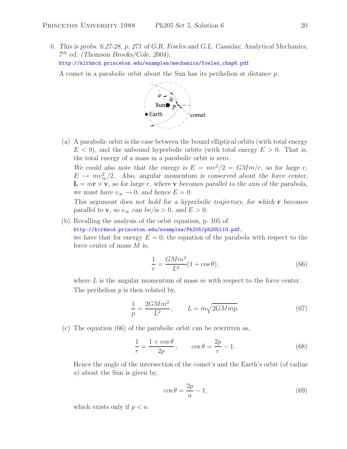6. *This is probs. 6.27-28, p. 271 of G.R. Fowles and G.L. Cassiday,* Analytical Mechanics*,* 7th *ed. (Thomson Brooks/Cole, 2004),* http://kirkmcd.princeton.edu/examples/mechanics/fowles\_chap6.pdf

A comet in a parabolic orbit about the Sun has its perihelion at distance p.



(a) A parabolic orbit is the case between the bound elliptical orbits (with total energy  $E < 0$ , and the unbound hyperbolic orbits (with total energy  $E > 0$ . That is, the total energy of a mass in a parabolic orbit is zero.

We could also note that the energy is  $E = mv^2/2 = GMm/r$ , so for large r,  $E \rightarrow mv_{\infty}^{2}/2$ . Also, angular momentum is conserved about the force center,  $L = mr \times v$ , so for large r, where v becomes parallel to the axis of the parabola, *we must have*  $v_{\infty} \to 0$ *, and hence*  $E = 0$ *.* 

*This argument does not hold for a hyperbolic trajectory, for which* **r** *becomes parallel to* **v***, so*  $v_{\infty}$  *can be/is* > 0*, and*  $E$  > 0*.* 

(b) Recalling the analysis of the orbit equation, p. 105 of

http://kirkmcd.princeton.edu/examples/Ph205/ph205l10.pdf,

we have that for energy  $E = 0$ , the equation of the parabola with respect to the force center of mass  $M$  is,

$$
\frac{1}{r} = \frac{GMm^2}{L^2}(1 + \cos\theta),\tag{66}
$$

where  $L$  is the angular momentum of mass  $m$  with respect to the force center. The perihelion  $p$  is then related by,

$$
\frac{1}{p} = \frac{2GMm^2}{L^2}, \qquad L = m\sqrt{2GMmp}.\tag{67}
$$

(c) The equation (66) of the parabolic orbit can be rewritten as,

$$
\frac{1}{r} = \frac{1 + \cos \theta}{2p}, \qquad \cos \theta = \frac{2p}{r} - 1.
$$
\n(68)

Hence the angle of the intersection of the comet's and the Earth's orbit (of radius a) about the Sun is given by,

$$
\cos \theta = \frac{2p}{a} - 1,\tag{69}
$$

which exists only if  $p < a$ .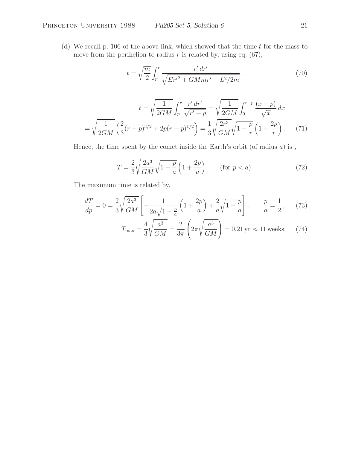(d) We recall p. 106 of the above link, which showed that the time  $t$  for the mass to move from the perihelion to radius  $r$  is related by, using eq. (67),

$$
t = \sqrt{\frac{m}{2}} \int_{p}^{r} \frac{r' dr'}{\sqrt{Er'^2 + GMmr' - L^2/2m}}.
$$
\n(70)

$$
t = \sqrt{\frac{1}{2GM}} \int_p^r \frac{r' dr'}{\sqrt{r'-p}} = \sqrt{\frac{1}{2GM}} \int_0^{r-p} \frac{(x+p)}{\sqrt{x}} dx
$$

$$
= \sqrt{\frac{1}{2GM}} \left(\frac{2}{3}(r-p)^{3/2} + 2p(r-p)^{1/2}\right) = \frac{1}{3} \sqrt{\frac{2r^3}{GM}} \sqrt{1 - \frac{p}{r}} \left(1 + \frac{2p}{r}\right). \tag{71}
$$

Hence, the time spent by the comet inside the Earth's orbit (of radius  $a$ ) is,

$$
T = \frac{2}{3} \sqrt{\frac{2a^3}{GM}} \sqrt{1 - \frac{p}{a}} \left(1 + \frac{2p}{a}\right) \qquad \text{(for } p < a\text{)}.
$$
\n
$$
\tag{72}
$$

The maximum time is related by,

$$
\frac{dT}{dp} = 0 = \frac{2}{3} \sqrt{\frac{2a^3}{GM}} \left[ -\frac{1}{2a\sqrt{1-\frac{p}{a}}} \left( 1 + \frac{2p}{a} \right) + \frac{2}{a} \sqrt{1-\frac{p}{a}} \right], \qquad \frac{p}{a} = \frac{1}{2}, \tag{73}
$$

$$
T_{\text{max}} = \frac{4}{3} \sqrt{\frac{a^3}{GM}} = \frac{2}{3\pi} \left( 2\pi \sqrt{\frac{a^3}{GM}} \right) = 0.21 \,\text{yr} \approx 11 \,\text{weeks.} \tag{74}
$$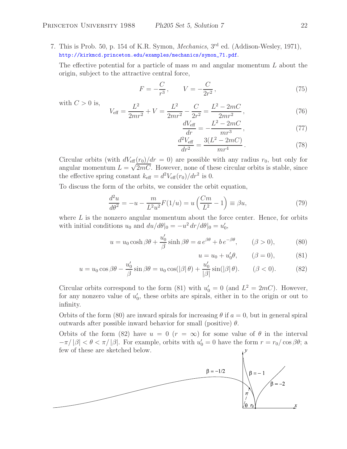7. This is Prob. 50, p. 154 of K.R. Symon, *Mechanics*, 3rd ed. (Addison-Wesley, 1971), http://kirkmcd.princeton.edu/examples/mechanics/symon\_71.pdf.

The effective potential for a particle of mass  $m$  and angular momentum  $L$  about the origin, subject to the attractive central force,

$$
F = -\frac{C}{r^3}, \qquad V = -\frac{C}{2r^2}, \tag{75}
$$

with 
$$
C > 0
$$
 is,  

$$
V_{\text{eff}} = \frac{L^2}{2mr^2} + V = \frac{L^2}{2mr^2} - \frac{C}{2r^2} = \frac{L^2 - 2mC}{2mr^2},
$$
(76)

$$
\frac{dV_{\text{eff}}}{dr} = -\frac{L^2 - 2mC}{mr^3},\qquad(77)
$$

$$
\frac{d^2V_{\text{eff}}}{dr^2} = \frac{3(L^2 - 2mC)}{mr^4}.
$$
\n(78)

Circular orbits (with  $dV_{\text{eff}}(r_0)/dr = 0$ ) are possible with any radius  $r_0$ , but only for angular momentum  $L = \sqrt{2mC}$ . However, none of these circular orbits is stable, since the effective spring constant  $k_{\text{eff}} = d^2 V_{\text{eff}}(r_0)/dr^2$  is 0.

To discuss the form of the orbits, we consider the orbit equation,

$$
\frac{d^2u}{d\theta^2} = -u - \frac{m}{L^2u^2}F(1/u) = u\left(\frac{Cm}{L^2} - 1\right) \equiv \beta u,\tag{79}
$$

where  $L$  is the nonzero angular momentum about the force center. Hence, for orbits with initial conditions  $u_0$  and  $du/d\theta|_0 = -u^2 dr/d\theta|_0 = u'_0$ ,

$$
u = u_0 \cosh \beta \theta + \frac{u'_0}{\beta} \sinh \beta \theta = a e^{\beta \theta} + b e^{-\beta \theta}, \qquad (\beta > 0), \tag{80}
$$

$$
u = u_0 + u'_0 \theta,
$$
  $(\beta = 0),$  (81)

$$
u = u_0 \cos \beta \theta - \frac{u'_0}{\beta} \sin \beta \theta = u_0 \cos(|\beta| \theta) + \frac{u'_0}{|\beta|} \sin(|\beta| \theta). \qquad (\beta < 0). \tag{82}
$$

Circular orbits correspond to the form (81) with  $u'_0 = 0$  (and  $L^2 = 2mC$ ). However, for any nonzero value of  $u'_0$ , these orbits are spirals, either in to the origin or out to infinity.

Orbits of the form (80) are inward spirals for increasing  $\theta$  if  $a = 0$ , but in general spiral outwards after possible inward behavior for small (positive)  $\theta$ .

Orbits of the form (82) have  $u = 0$  ( $r = \infty$ ) for some value of  $\theta$  in the interval  $-\pi/|\beta| < \theta < \pi/|\beta|$ . For example, orbits with  $u'_0 = 0$  have the form  $r = r_0/\cos \beta\theta$ ; a few of these are sketched below.

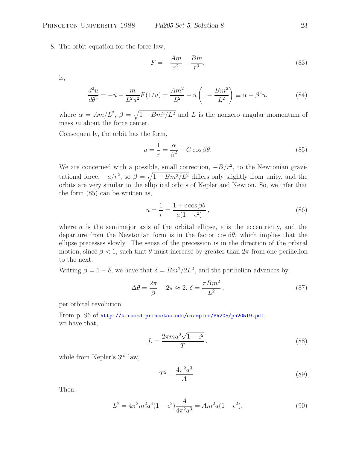8. The orbit equation for the force law,

$$
F = -\frac{Am}{r^2} - \frac{Bm}{r^3},\tag{83}
$$

is,

$$
\frac{d^2u}{d\theta^2} = -u - \frac{m}{L^2u^2}F(1/u) = \frac{Am^2}{L^2} - u\left(1 - \frac{Bm^2}{L^2}\right) \equiv \alpha - \beta^2 u,\tag{84}
$$

where  $\alpha = Am/L^2$ ,  $\beta = \sqrt{1 - Bm^2/L^2}$  and L is the nonzero angular momentum of mass m about the force center.

Consequently, the orbit has the form,

$$
u = \frac{1}{r} = \frac{\alpha}{\beta^2} + C\cos\beta\theta.
$$
 (85)

We are concerned with a possible, small correction,  $-B/r^2$ , to the Newtonian gravitational force,  $-a/r^2$ , so  $\beta = \sqrt{1 - Bm^2/L^2}$  differs only slightly from unity, and the orbits are very similar to the elliptical orbits of Kepler and Newton. So, we infer that the form (85) can be written as,

$$
u = \frac{1}{r} = \frac{1 + \epsilon \cos \beta \theta}{a(1 - \epsilon^2)},
$$
\n(86)

where a is the semimajor axis of the orbital ellipse,  $\epsilon$  is the eccentricity, and the departure from the Newtonian form is in the factor  $\cos \beta \theta$ , which implies that the ellipse precesses slowly. The sense of the precession is in the direction of the orbital motion, since  $\beta < 1$ , such that  $\theta$  must increase by greater than  $2\pi$  from one perihelion to the next.

Writing  $\beta = 1 - \delta$ , we have that  $\delta = Bm^2/2L^2$ , and the perihelion advances by,

$$
\Delta\theta = \frac{2\pi}{\beta} - 2\pi \approx 2\pi\delta = \frac{\pi B m^2}{L^2},\qquad(87)
$$

per orbital revolution.

From p. 96 of http://kirkmcd.princeton.edu/examples/Ph205/ph205l9.pdf, we have that,

$$
L = \frac{2\pi ma^2\sqrt{1 - \epsilon^2}}{T},\tag{88}
$$

while from Kepler's 3<sup>rd</sup> law,

$$
T^2 = \frac{4\pi^2 a^3}{A} \,. \tag{89}
$$

Then,

$$
L^{2} = 4\pi^{2} m^{2} a^{4} (1 - \epsilon^{2}) \frac{A}{4\pi^{2} a^{3}} = Am^{2} a (1 - \epsilon^{2}),
$$
\n(90)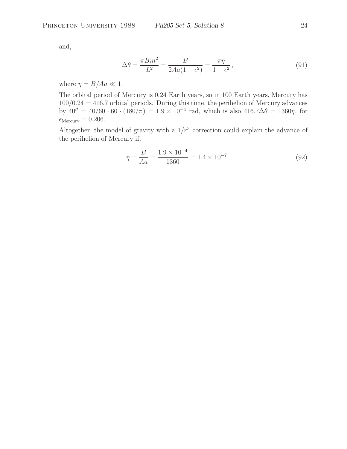and,

$$
\Delta\theta = \frac{\pi B m^2}{L^2} = \frac{B}{2Aa(1 - \epsilon^2)} = \frac{\pi\eta}{1 - \epsilon^2},\tag{91}
$$

where  $\eta = B/Aa \ll 1$ .

The orbital period of Mercury is 0.24 Earth years, so in 100 Earth years, Mercury has  $100/0.24 = 416.7$  orbital periods. During this time, the perihelion of Mercury advances by  $40'' = 40/60 \cdot 60 \cdot (180/\pi) = 1.9 \times 10^{-4}$  rad, which is also  $416.7\Delta\theta = 1360\eta$ , for  $\epsilon_{\text{Mercury}} = 0.206.$ 

Altogether, the model of gravity with a  $1/r^3$  correction could explain the advance of the perihelion of Mercury if,

$$
\eta = \frac{B}{Aa} = \frac{1.9 \times 10^{-4}}{1360} = 1.4 \times 10^{-7}.
$$
\n(92)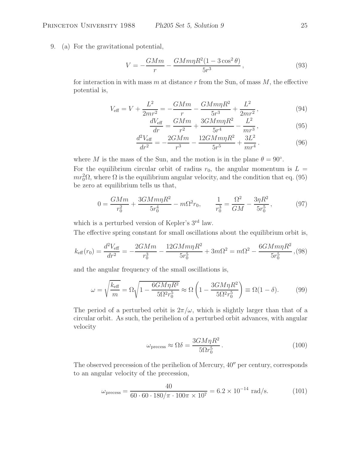### Princeton University 1988 *Ph205 Set 5, Solution 9* 25

9. (a) For the gravitational potential,

$$
V = -\frac{GMm}{r} - \frac{GMm\eta R^2 (1 - 3\cos^2\theta)}{5r^3},
$$
\n(93)

for interaction in with mass m at distance r from the Sun, of mass  $M$ , the effective potential is,

$$
V_{\text{eff}} = V + \frac{L^2}{2mr^2} = -\frac{GMm}{r} - \frac{GMm\eta R^2}{5r^3} + \frac{L^2}{2mr^2},\tag{94}
$$

$$
\frac{dV_{\text{eff}}}{dr} = \frac{GMm}{r^2} + \frac{3GMm\eta R^2}{5r^4} - \frac{L^2}{mr^3},\tag{95}
$$

$$
\frac{d^2V_{\text{eff}}}{dr^2} = -\frac{2GMm}{r^3} - \frac{12GMm\eta R^2}{5r^5} + \frac{3L^2}{mr^4}.
$$
\n(96)

where M is the mass of the Sun, and the motion is in the plane  $\theta = 90^{\circ}$ . For the equilibrium circular orbit of radius  $r_0$ , the angular momentum is  $L =$  $mr_0^2\Omega$ , where  $\Omega$  is the equilibrium angular velocity, and the condition that eq. (95) be zero at equilibrium tells us that,

$$
0 = \frac{GMm}{r_0^2} + \frac{3GMm\eta R^2}{5r_0^4} - m\Omega^2 r_0, \qquad \frac{1}{r_0^3} = \frac{\Omega^2}{GM} - \frac{3\eta R^2}{5r_0^5},\tag{97}
$$

which is a perturbed version of Kepler's 3<sup>rd</sup> law.

The effective spring constant for small oscillations about the equilibrium orbit is,

$$
k_{\text{eff}}(r_0) = \frac{d^2 V_{\text{eff}}}{dr^2} = -\frac{2GMm}{r_0^3} - \frac{12GMm\eta R^2}{5r_0^5} + 3m\Omega^2 = m\Omega^2 - \frac{6GMm\eta R^2}{5r_0^5},
$$
(98)

and the angular frequency of the small oscillations is,

$$
\omega = \sqrt{\frac{k_{\text{eff}}}{m}} = \Omega \sqrt{1 - \frac{6GM\eta R^2}{5\Omega^2 r_0^5}} \approx \Omega \left(1 - \frac{3GM\eta R^2}{5\Omega^2 r_0^5}\right) \equiv \Omega(1 - \delta). \tag{99}
$$

The period of a perturbed orbit is  $2\pi/\omega$ , which is slightly larger than that of a circular orbit. As such, the perihelion of a perturbed orbit advances, with angular velocity

$$
\omega_{\text{precess}} \approx \Omega \delta = \frac{3GM\eta R^2}{5\Omega r_0^5} \,. \tag{100}
$$

The observed precession of the perihelion of Mercury,  $40''$  per century, corresponds to an angular velocity of the precession,

$$
\omega_{\text{precess}} = \frac{40}{60 \cdot 60 \cdot 180/\pi \cdot 100\pi \times 10^7} = 6.2 \times 10^{-14} \text{ rad/s.}
$$
 (101)